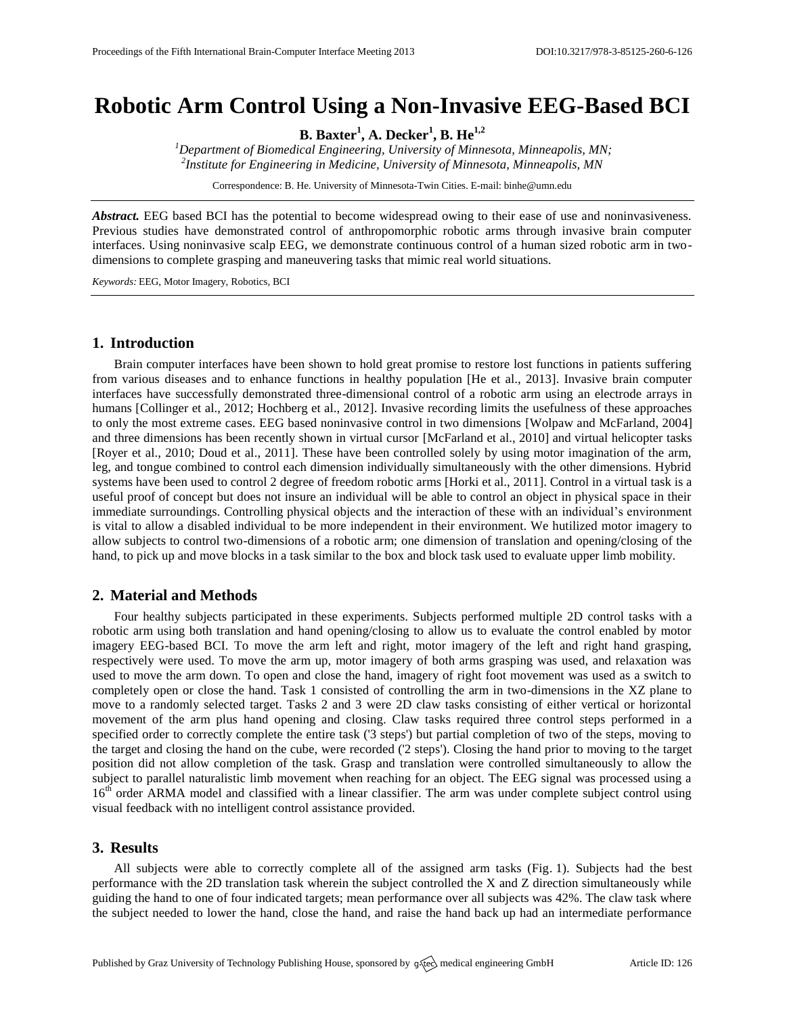# **Robotic Arm Control Using a Non-Invasive EEG-Based BCI**

**B. Baxter<sup>1</sup> , A. Decker<sup>1</sup> , B. He1,2**

*<sup>1</sup>Department of Biomedical Engineering, University of Minnesota, Minneapolis, MN; 2 Institute for Engineering in Medicine, University of Minnesota, Minneapolis, MN*

Correspondence: B. He. University of Minnesota-Twin Cities. E-mail[: binhe@umn.edu](mailto:binhe@umn.edu)

*Abstract.* EEG based BCI has the potential to become widespread owing to their ease of use and noninvasiveness. Previous studies have demonstrated control of anthropomorphic robotic arms through invasive brain computer interfaces. Using noninvasive scalp EEG, we demonstrate continuous control of a human sized robotic arm in twodimensions to complete grasping and maneuvering tasks that mimic real world situations.

*Keywords:* EEG, Motor Imagery, Robotics, BCI

### **1. Introduction**

Brain computer interfaces have been shown to hold great promise to restore lost functions in patients suffering from various diseases and to enhance functions in healthy population [He et al., 2013]. Invasive brain computer interfaces have successfully demonstrated three-dimensional control of a robotic arm using an electrode arrays in humans [Collinger et al., 2012; Hochberg et al., 2012]. Invasive recording limits the usefulness of these approaches to only the most extreme cases. EEG based noninvasive control in two dimensions [Wolpaw and McFarland, 2004] and three dimensions has been recently shown in virtual cursor [McFarland et al., 2010] and virtual helicopter tasks [Royer et al., 2010; Doud et al., 2011]. These have been controlled solely by using motor imagination of the arm, leg, and tongue combined to control each dimension individually simultaneously with the other dimensions. Hybrid systems have been used to control 2 degree of freedom robotic arms [Horki et al., 2011]. Control in a virtual task is a useful proof of concept but does not insure an individual will be able to control an object in physical space in their immediate surroundings. Controlling physical objects and the interaction of these with an individual's environment is vital to allow a disabled individual to be more independent in their environment. We hutilized motor imagery to allow subjects to control two-dimensions of a robotic arm; one dimension of translation and opening/closing of the hand, to pick up and move blocks in a task similar to the box and block task used to evaluate upper limb mobility.

#### **2. Material and Methods**

Four healthy subjects participated in these experiments. Subjects performed multiple 2D control tasks with a robotic arm using both translation and hand opening/closing to allow us to evaluate the control enabled by motor imagery EEG-based BCI. To move the arm left and right, motor imagery of the left and right hand grasping, respectively were used. To move the arm up, motor imagery of both arms grasping was used, and relaxation was used to move the arm down. To open and close the hand, imagery of right foot movement was used as a switch to completely open or close the hand. Task 1 consisted of controlling the arm in two-dimensions in the XZ plane to move to a randomly selected target. Tasks 2 and 3 were 2D claw tasks consisting of either vertical or horizontal movement of the arm plus hand opening and closing. Claw tasks required three control steps performed in a specified order to correctly complete the entire task ('3 steps') but partial completion of two of the steps, moving to the target and closing the hand on the cube, were recorded ('2 steps'). Closing the hand prior to moving to the target position did not allow completion of the task. Grasp and translation were controlled simultaneously to allow the subject to parallel naturalistic limb movement when reaching for an object. The EEG signal was processed using a 16<sup>th</sup> order ARMA model and classified with a linear classifier. The arm was under complete subject control using visual feedback with no intelligent control assistance provided.

## **3. Results**

All subjects were able to correctly complete all of the assigned arm tasks (Fig. 1). Subjects had the best performance with the 2D translation task wherein the subject controlled the X and Z direction simultaneously while guiding the hand to one of four indicated targets; mean performance over all subjects was 42%. The claw task where the subject needed to lower the hand, close the hand, and raise the hand back up had an intermediate performance